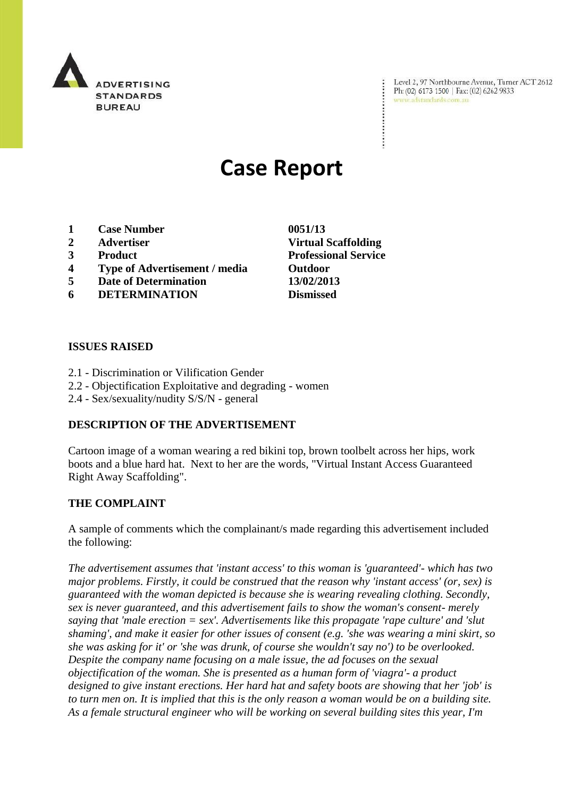

Level 2, 97 Northbourne Avenue, Turner ACT 2612 Ph: (02) 6173 1500 | Fax: (02) 6262 9833 www.adstandards.com.au

# **Case Report**

- **1 Case Number 0051/13**
- 
- 
- **4 Type of Advertisement / media Outdoor**
- **5 Date of Determination 13/02/2013**
- **6 DETERMINATION Dismissed**

## **ISSUES RAISED**

- 2.1 Discrimination or Vilification Gender
- 2.2 Objectification Exploitative and degrading women
- 2.4 Sex/sexuality/nudity S/S/N general

## **DESCRIPTION OF THE ADVERTISEMENT**

Cartoon image of a woman wearing a red bikini top, brown toolbelt across her hips, work boots and a blue hard hat. Next to her are the words, "Virtual Instant Access Guaranteed Right Away Scaffolding".

#### **THE COMPLAINT**

A sample of comments which the complainant/s made regarding this advertisement included the following:

*The advertisement assumes that 'instant access' to this woman is 'guaranteed'- which has two major problems. Firstly, it could be construed that the reason why 'instant access' (or, sex) is guaranteed with the woman depicted is because she is wearing revealing clothing. Secondly, sex is never guaranteed, and this advertisement fails to show the woman's consent- merely saying that 'male erection = sex'. Advertisements like this propagate 'rape culture' and 'slut shaming', and make it easier for other issues of consent (e.g. 'she was wearing a mini skirt, so she was asking for it' or 'she was drunk, of course she wouldn't say no') to be overlooked. Despite the company name focusing on a male issue, the ad focuses on the sexual objectification of the woman. She is presented as a human form of 'viagra'- a product designed to give instant erections. Her hard hat and safety boots are showing that her 'job' is to turn men on. It is implied that this is the only reason a woman would be on a building site. As a female structural engineer who will be working on several building sites this year, I'm* 

**2 Advertiser Virtual Scaffolding 3 Product Professional Service**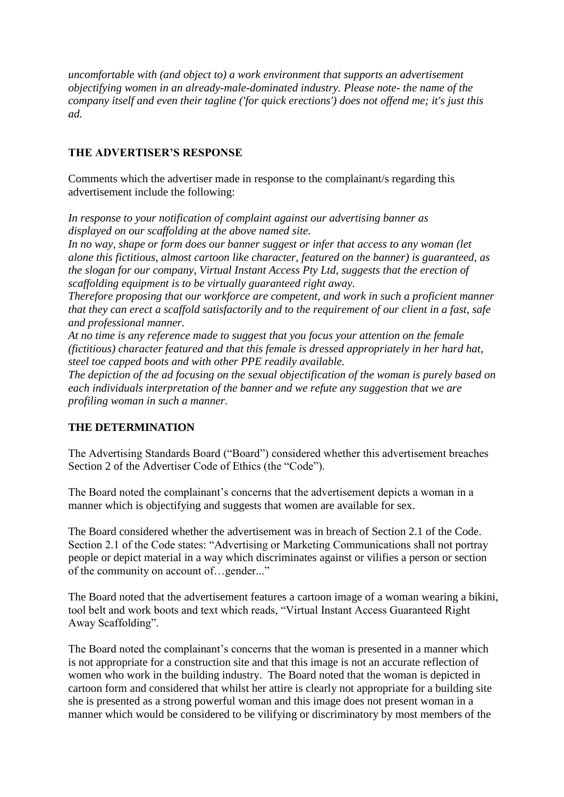*uncomfortable with (and object to) a work environment that supports an advertisement objectifying women in an already-male-dominated industry. Please note- the name of the company itself and even their tagline ('for quick erections') does not offend me; it's just this ad.*

# **THE ADVERTISER'S RESPONSE**

Comments which the advertiser made in response to the complainant/s regarding this advertisement include the following:

*In response to your notification of complaint against our advertising banner as displayed on our scaffolding at the above named site.*

*In no way, shape or form does our banner suggest or infer that access to any woman (let alone this fictitious, almost cartoon like character, featured on the banner) is guaranteed, as the slogan for our company, Virtual Instant Access Pty Ltd, suggests that the erection of scaffolding equipment is to be virtually guaranteed right away.*

*Therefore proposing that our workforce are competent, and work in such a proficient manner that they can erect a scaffold satisfactorily and to the requirement of our client in a fast, safe and professional manner.*

*At no time is any reference made to suggest that you focus your attention on the female (fictitious) character featured and that this female is dressed appropriately in her hard hat, steel toe capped boots and with other PPE readily available.*

*The depiction of the ad focusing on the sexual objectification of the woman is purely based on each individuals interpretation of the banner and we refute any suggestion that we are profiling woman in such a manner.*

#### **THE DETERMINATION**

The Advertising Standards Board ("Board") considered whether this advertisement breaches Section 2 of the Advertiser Code of Ethics (the "Code").

The Board noted the complainant's concerns that the advertisement depicts a woman in a manner which is objectifying and suggests that women are available for sex.

The Board considered whether the advertisement was in breach of Section 2.1 of the Code. Section 2.1 of the Code states: "Advertising or Marketing Communications shall not portray people or depict material in a way which discriminates against or vilifies a person or section of the community on account of…gender..."

The Board noted that the advertisement features a cartoon image of a woman wearing a bikini, tool belt and work boots and text which reads, "Virtual Instant Access Guaranteed Right Away Scaffolding".

The Board noted the complainant's concerns that the woman is presented in a manner which is not appropriate for a construction site and that this image is not an accurate reflection of women who work in the building industry. The Board noted that the woman is depicted in cartoon form and considered that whilst her attire is clearly not appropriate for a building site she is presented as a strong powerful woman and this image does not present woman in a manner which would be considered to be vilifying or discriminatory by most members of the